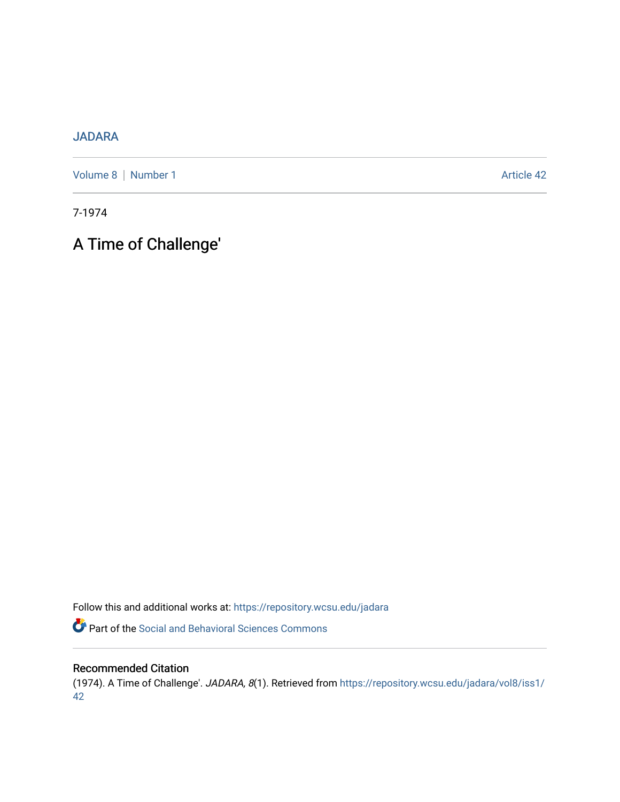# [JADARA](https://repository.wcsu.edu/jadara)

[Volume 8](https://repository.wcsu.edu/jadara/vol8) | [Number 1](https://repository.wcsu.edu/jadara/vol8/iss1) Article 42

7-1974

A Time of Challenge'

Follow this and additional works at: [https://repository.wcsu.edu/jadara](https://repository.wcsu.edu/jadara?utm_source=repository.wcsu.edu%2Fjadara%2Fvol8%2Fiss1%2F42&utm_medium=PDF&utm_campaign=PDFCoverPages)

Part of the [Social and Behavioral Sciences Commons](http://network.bepress.com/hgg/discipline/316?utm_source=repository.wcsu.edu%2Fjadara%2Fvol8%2Fiss1%2F42&utm_medium=PDF&utm_campaign=PDFCoverPages) 

## Recommended Citation

(1974). A Time of Challenge'. JADARA, 8(1). Retrieved from [https://repository.wcsu.edu/jadara/vol8/iss1/](https://repository.wcsu.edu/jadara/vol8/iss1/42?utm_source=repository.wcsu.edu%2Fjadara%2Fvol8%2Fiss1%2F42&utm_medium=PDF&utm_campaign=PDFCoverPages) [42](https://repository.wcsu.edu/jadara/vol8/iss1/42?utm_source=repository.wcsu.edu%2Fjadara%2Fvol8%2Fiss1%2F42&utm_medium=PDF&utm_campaign=PDFCoverPages)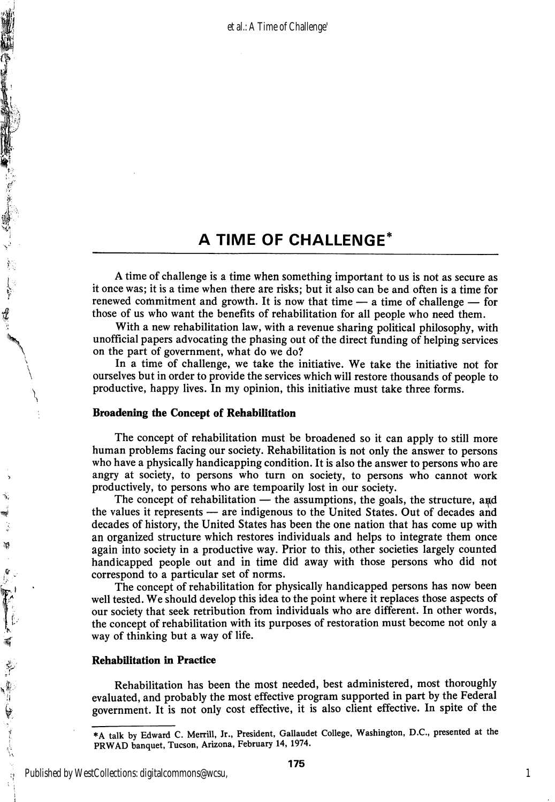# A TIME OF CHALLENGE'

A time of challenge is a time when something important to us is not as secure as it once was; it is a time when there are risks; but it also can be and often is a time for renewed commitment and growth. It is now that time  $-$  a time of challenge  $-$  for those of us who want the benefits of rehabilitation for all people who need them.

With a new rehabilitation law, with a revenue sharing political philosophy, with unofficial papers advocating the phasing out of the direct funding of helping services on the part of government, what do we do?

In a time of challenge, we take the initiative. We take the initiative not for ourselves but in order to provide the services which will restore thousands of people to productive, happy lives. In my opinion, this initiative must take three forms.

### Broadening the Concept of Rehabilitation

 $\overline{\phantom{0}}$ \

 $\mathbf{f}$ 

不可以 经零售货

 $\mathcal{G}$ 

劀

The concept of rehabilitation must be broadened so it can apply to still more human problems facing our society. Rehabilitation is not only the answer to persons who have a physically handicapping condition. It is also the answer to persons who are angry at society, to persons who turn on society, to persons who cannot work productively, to persons who are tempoarily lost in our society.

The concept of rehabilitation  $-$  the assumptions, the goals, the structure, and the values it represents — are indigenous to the United States. Out of decades and decades of history, the United States has been the one nation that has come up with an organized structure which restores individuals and helps to integrate them once again into society in a productive way. Prior to this, other societies largely counted handicapped people out and in time did away with those persons who did not correspond to a particular set of norms.

The concept of rehabilitation for physically handicapped persons has now been well tested. We should develop this idea to the point where it replaces those aspects of our society that seek retribution from individuals who are different. In other words, the concept of rehabilitation with its purposes of restoration must become not only a way of thinking but a way of life.

#### **Rehabilitation in Practice**

Rehabilitation has been the most needed, best administered, most thoroughly evaluated, and probably the most effective program supported in part by the Federal government. It is not only cost effective, it is also client effective. In spite of the

1

<sup>\*</sup>A talk by Edward C. Merrill, Jr., President, Gallaudet College, Washington, D.C., presented at the PRWAD banquet, Tucson, Arizona, February 14, 1974.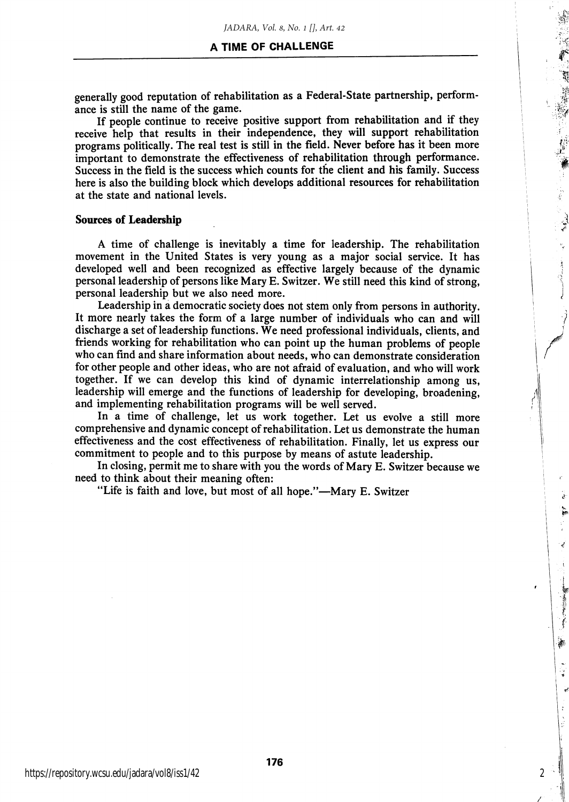generally good reputation of rehabilitation as a Federal-State partnership, perform ance is still the name of the game.

If people continue to receive positive support from rehabilitation and if they receive help that results in their independence, they will support rehabilitation programs politically. The real test is still in the field. Never before has it been more important to demonstrate the effectiveness of rehabilitation through performance. Success in the field is the success which counts for the client and his family. Success here is also the building block which develops additional resources for rehabilitation at the state and national levels.

### Sources of Leadership

A time of challenge is inevitably a time for leadership. The rehabilitation movement in the United States is very young as a major social service. It has developed well and been recognized as effective largely because of the dynamic personal leadership of persons like Mary E. Switzer. We still need this kind of strong, personal leadership but we also need more.

Leadership in a democratic society does not stem only from persons in authority. It more nearly takes the form of a large number of individuals who can and will discharge a set of leadership functions. We need professional individuals, clients, and friends working for rehabilitation who can point up the human problems of people who can find and share information about needs, who can demonstrate consideration for other people and other ideas, who are not afraid of evaluation, and who will work together. If we can develop this kind of dynamic interrelationship among us, leadership will emerge and the functions of leadership for developing, broadening, and implementing rehabilitation programs will be well served.

In a time of challenge, let us work together. Let us evolve a still more comprehensive and dynamic concept of rehabilitation. Let us demonstrate the human effectiveness and the cost effectiveness of rehabilitation. Finally, let us express our commitment to people and to this purpose by means of astute leadership.

In closing, permit me to share with you the words of Mary E. Switzer because we need to think about their meaning often:

"Life is faith and love, but most of all hope."—Mary E. Switzer

2

**Searches** 

灜

ႏ